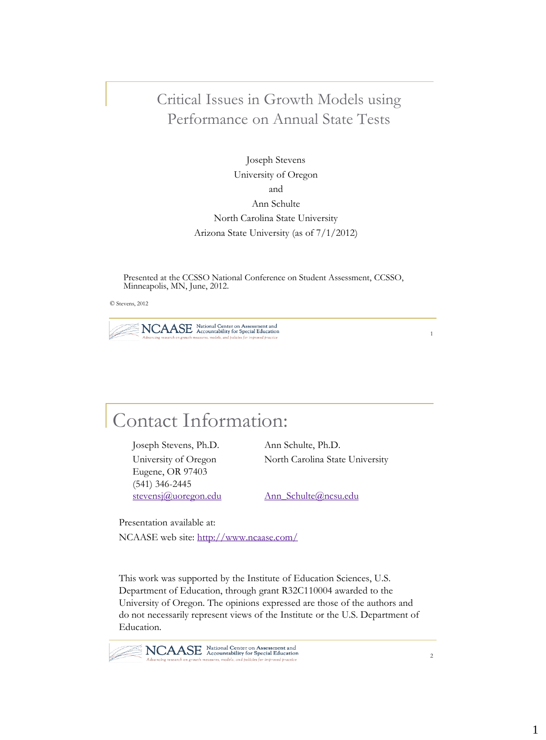### Critical Issues in Growth Models using Performance on Annual State Tests

Joseph Stevens University of Oregon and Ann Schulte North Carolina State University Arizona State University (as of 7/1/2012)

Presented at the CCSSO National Conference on Student Assessment, CCSSO, Minneapolis, MN, June, 2012.

© Stevens, 2012

NCAASE National Center on Assessment and models, and policies for impr

Contact Information:

Joseph Stevens, Ph.D. Ann Schulte, Ph.D. Eugene, OR 97403 (541) 346-2445 [stevensj@uoregon.edu](mailto:stevensj@uoregon.edu) Ann Schulte@ncsu.edu

University of Oregon North Carolina State University

Presentation available at: NCAASE web site: <http://www.ncaase.com/>

This work was supported by the Institute of Education Sciences, U.S. Department of Education, through grant R32C110004 awarded to the University of Oregon. The opinions expressed are those of the authors and do not necessarily represent views of the Institute or the U.S. Department of Education.

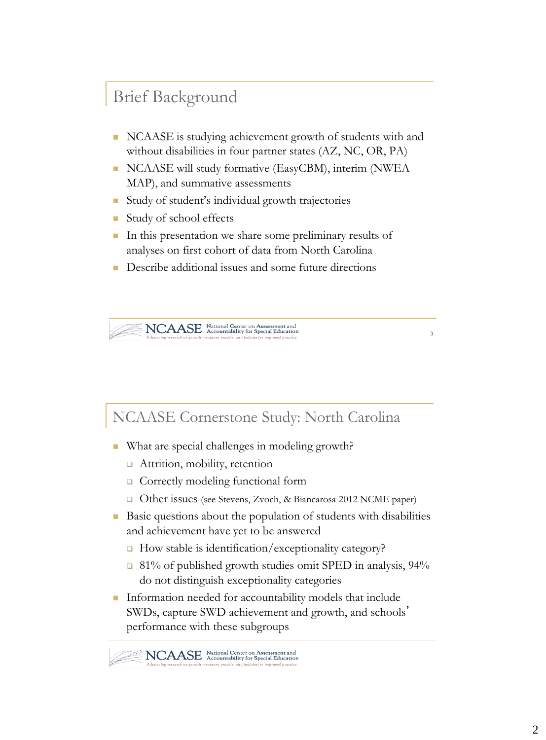## Brief Background

- NCAASE is studying achievement growth of students with and without disabilities in four partner states (AZ, NC, OR, PA)
- NCAASE will study formative (EasyCBM), interim (NWEA MAP), and summative assessments
- Study of student's individual growth trajectories
- Study of school effects
- In this presentation we share some preliminary results of analyses on first cohort of data from North Carolina
- Describe additional issues and some future directions

NCAASE National Center on Assessment and

NCAASE Cornerstone Study: North Carolina

- What are special challenges in modeling growth?
	- □ Attrition, mobility, retention
	- □ Correctly modeling functional form
	- □ Other issues (see Stevens, Zvoch, & Biancarosa 2012 NCME paper)
- Basic questions about the population of students with disabilities and achievement have yet to be answered
	- □ How stable is identification/exceptionality category?
	- □ 81% of published growth studies omit SPED in analysis, 94% do not distinguish exceptionality categories
- **Information needed for accountability models that include** SWDs, capture SWD achievement and growth, and schools' performance with these subgroups

NCAASE National Center on Assessment and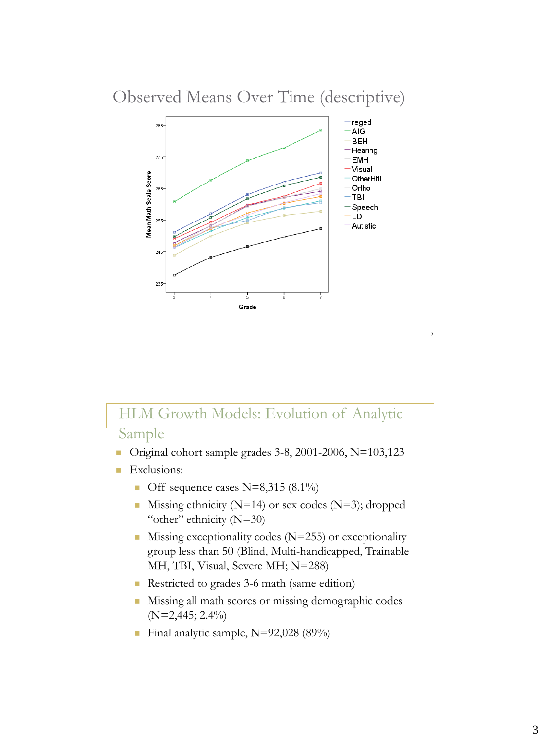### Observed Means Over Time (descriptive)



## HLM Growth Models: Evolution of Analytic Sample

- Original cohort sample grades  $3-8$ ,  $2001-2006$ , N=103,123
- **Exclusions:** 
	- Off sequence cases N=8,315  $(8.1\%)$
	- Missing ethnicity ( $N=14$ ) or sex codes ( $N=3$ ); dropped "other" ethnicity (N=30)
	- $\blacksquare$  Missing exceptionality codes (N=255) or exceptionality group less than 50 (Blind, Multi-handicapped, Trainable MH, TBI, Visual, Severe MH; N=288)
	- Restricted to grades 3-6 math (same edition)
	- Missing all math scores or missing demographic codes (N=2,445; 2.4%)
	- Final analytic sample,  $N=92,028$  (89%)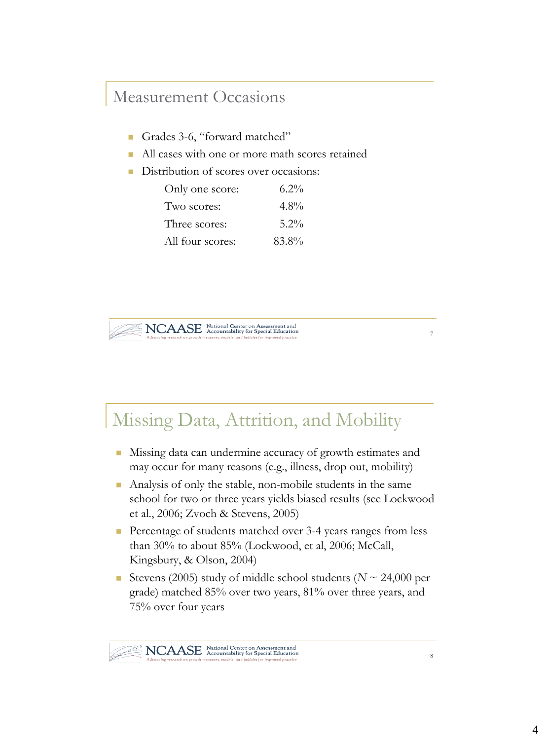## Measurement Occasions

- Grades 3-6, "forward matched"
- All cases with one or more math scores retained
- Distribution of scores over occasions:

| Only one score:  | $6.2\%$ |
|------------------|---------|
| Two scores:      | $4.8\%$ |
| Three scores:    | $5.2\%$ |
| All four scores: | 83.8%   |



# Missing Data, Attrition, and Mobility

- Missing data can undermine accuracy of growth estimates and may occur for many reasons (e.g., illness, drop out, mobility)
- Analysis of only the stable, non-mobile students in the same school for two or three years yields biased results (see Lockwood et al., 2006; Zvoch & Stevens, 2005)
- Percentage of students matched over 3-4 years ranges from less than 30% to about 85% (Lockwood, et al, 2006; McCall, Kingsbury, & Olson, 2004)
- Stevens (2005) study of middle school students ( $N \sim 24,000$  per grade) matched 85% over two years, 81% over three years, and 75% over four years

7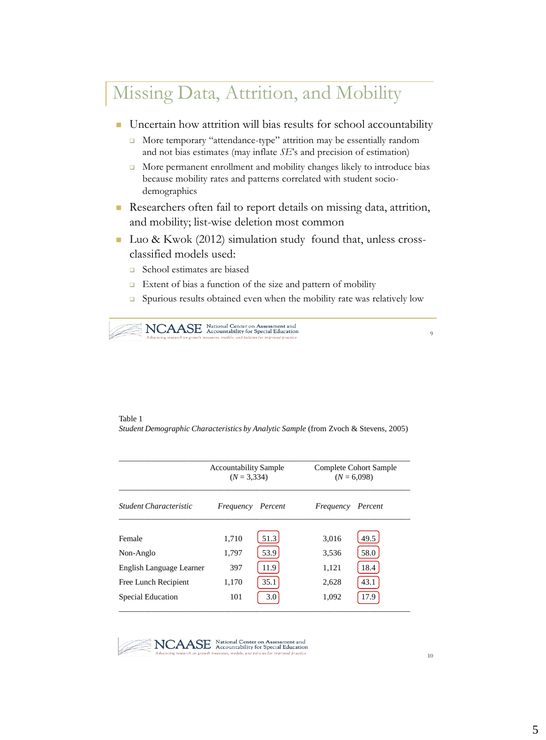# Missing Data, Attrition, and Mobility

- Uncertain how attrition will bias results for school accountability
	- More temporary "attendance-type" attrition may be essentially random and not bias estimates (may inflate *SE*'s and precision of estimation)
	- More permanent enrollment and mobility changes likely to introduce bias because mobility rates and patterns correlated with student sociodemographics
- Researchers often fail to report details on missing data, attrition, and mobility; list-wise deletion most common
- Luo & Kwok (2012) simulation study found that, unless crossclassified models used:
	- □ School estimates are biased
	- Extent of bias a function of the size and pattern of mobility
	- □ Spurious results obtained even when the mobility rate was relatively low



 $\overline{9}$ 

#### Table 1

*Student Demographic Characteristics by Analytic Sample* (from Zvoch & Stevens, 2005)

|                          | <b>Accountability Sample</b><br>$(N = 3.334)$ |         | Complete Cohort Sample<br>$(N = 6,098)$ |         |  |
|--------------------------|-----------------------------------------------|---------|-----------------------------------------|---------|--|
| Student Characteristic   | Frequency                                     | Percent | Frequency                               | Percent |  |
| Female                   | 1.710                                         | 51.3    | 3.016                                   | 49.5    |  |
| Non-Anglo                | 1.797                                         | 53.9    | 3,536                                   | 58.0    |  |
| English Language Learner | 397                                           | 11.9    | 1,121                                   | 18.4    |  |
| Free Lunch Recipient     | 1.170                                         | 35.1    | 2,628                                   | 43.1    |  |
| Special Education        | 101                                           | 3.0     | 1,092                                   | 17.9    |  |

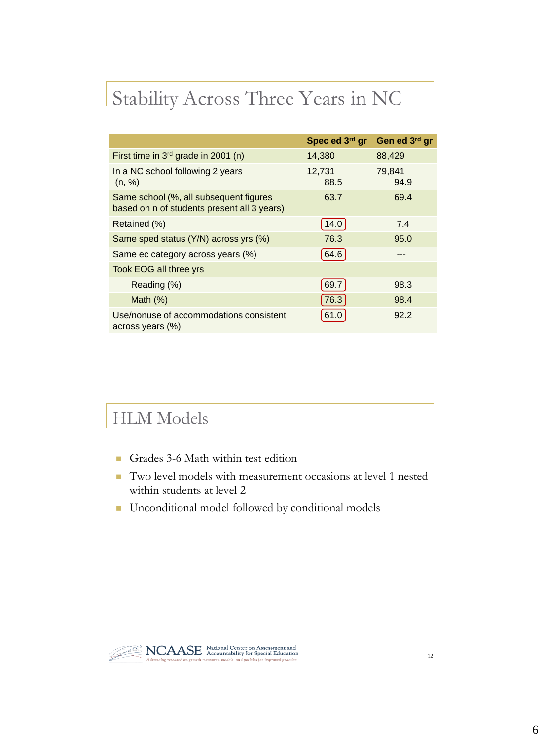# Stability Across Three Years in NC

|                                                                                       | Spec ed 3rd gr | Gen ed 3rd gr  |
|---------------------------------------------------------------------------------------|----------------|----------------|
| First time in 3 <sup>rd</sup> grade in 2001 (n)                                       | 14,380         | 88,429         |
| In a NC school following 2 years<br>(n, %)                                            | 12,731<br>88.5 | 79,841<br>94.9 |
| Same school (%, all subsequent figures<br>based on n of students present all 3 years) | 63.7           | 69.4           |
| Retained (%)                                                                          | 14.0           | 7.4            |
| Same sped status (Y/N) across yrs (%)                                                 | 76.3           | 95.0           |
| Same ec category across years (%)                                                     | 64.6           |                |
| Took EOG all three yrs                                                                |                |                |
| Reading (%)                                                                           | 69.7           | 98.3           |
| Math $(\%)$                                                                           | 76.3           | 98.4           |
| Use/nonuse of accommodations consistent<br>across years (%)                           |                | 92.2           |

# HLM Models

- Grades 3-6 Math within test edition
- Two level models with measurement occasions at level 1 nested within students at level 2
- **Unconditional model followed by conditional models**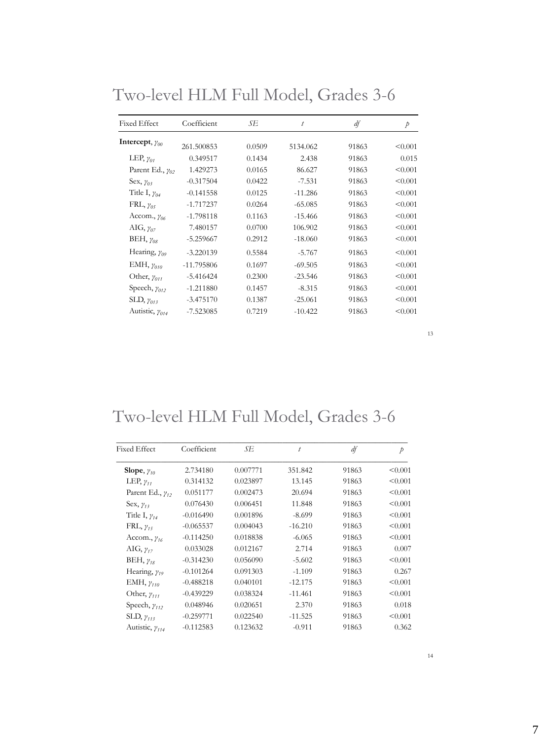| <b>Fixed Effect</b>       | Coefficient  | SЕ     | t         | df    | Þ       |
|---------------------------|--------------|--------|-----------|-------|---------|
| Intercept, $\gamma_{00}$  | 261.500853   | 0.0509 | 5134.062  | 91863 | < 0.001 |
| LEP, $y_{01}$             | 0.349517     | 0.1434 | 2.438     | 91863 | 0.015   |
| Parent Ed., $\gamma_{02}$ | 1.429273     | 0.0165 | 86.627    | 91863 | < 0.001 |
| Sex, $y_{03}$             | $-0.317504$  | 0.0422 | $-7.531$  | 91863 | < 0.001 |
| Title I, $y_{04}$         | $-0.141558$  | 0.0125 | $-11.286$ | 91863 | < 0.001 |
| FRL, $\gamma_{05}$        | $-1.717237$  | 0.0264 | $-65.085$ | 91863 | < 0.001 |
| Accom., $y_{06}$          | $-1.798118$  | 0.1163 | $-15.466$ | 91863 | < 0.001 |
| AIG, $\gamma_{07}$        | 7.480157     | 0.0700 | 106.902   | 91863 | < 0.001 |
| BEH, $\gamma_{08}$        | $-5.259667$  | 0.2912 | $-18,060$ | 91863 | < 0.001 |
| Hearing, $\gamma_{09}$    | $-3.220139$  | 0.5584 | $-5.767$  | 91863 | < 0.001 |
| EMH, $\gamma_{010}$       | $-11.795806$ | 0.1697 | $-69.505$ | 91863 | < 0.001 |
| Other, $\gamma_{011}$     | $-5.416424$  | 0.2300 | $-23.546$ | 91863 | < 0.001 |
| Speech, $\gamma_{012}$    | $-1.211880$  | 0.1457 | $-8.315$  | 91863 | < 0.001 |
| SLD, $\gamma_{013}$       | $-3.475170$  | 0.1387 | $-25.061$ | 91863 | < 0.001 |
| Autistic, $\gamma_{014}$  | $-7.523085$  | 0.7219 | $-10.422$ | 91863 | < 0.001 |

Two-level HLM Full Model, Grades 3-6

# Two-level HLM Full Model, Grades 3-6

| Fixed Effect              | Coefficient | SЕ       | t         | df    | Þ       |
|---------------------------|-------------|----------|-----------|-------|---------|
| Slope, $y_{10}$           | 2.734180    | 0.007771 | 351.842   | 91863 | < 0.001 |
| LEP, $\gamma_{11}$        | 0.314132    | 0.023897 | 13.145    | 91863 | < 0.001 |
| Parent Ed., $\gamma_{12}$ | 0.051177    | 0.002473 | 20.694    | 91863 | < 0.001 |
| Sex, $y_{13}$             | 0.076430    | 0.006451 | 11.848    | 91863 | < 0.001 |
| Title I, $\gamma_{14}$    | $-0.016490$ | 0.001896 | $-8.699$  | 91863 | < 0.001 |
| $FRL$ , $\gamma_{15}$     | $-0.065537$ | 0.004043 | $-16.210$ | 91863 | < 0.001 |
| Accom., $y_{16}$          | $-0.114250$ | 0.018838 | $-6.065$  | 91863 | < 0.001 |
| AIG, $\gamma_{17}$        | 0.033028    | 0.012167 | 2.714     | 91863 | 0.007   |
| BEH, $\gamma_{18}$        | $-0.314230$ | 0.056090 | $-5.602$  | 91863 | < 0.001 |
| Hearing, $\gamma_{19}$    | $-0.101264$ | 0.091303 | $-1.109$  | 91863 | 0.267   |
| EMH, $\gamma_{110}$       | $-0.488218$ | 0.040101 | $-12.175$ | 91863 | < 0.001 |
| Other, $\gamma_{111}$     | $-0.439229$ | 0.038324 | $-11.461$ | 91863 | < 0.001 |
| Speech, $\gamma_{112}$    | 0.048946    | 0.020651 | 2.370     | 91863 | 0.018   |
| SLD, $\gamma_{113}$       | $-0.259771$ | 0.022540 | $-11.525$ | 91863 | < 0.001 |
| Autistic, $\gamma_{114}$  | $-0.112583$ | 0.123632 | $-0.911$  | 91863 | 0.362   |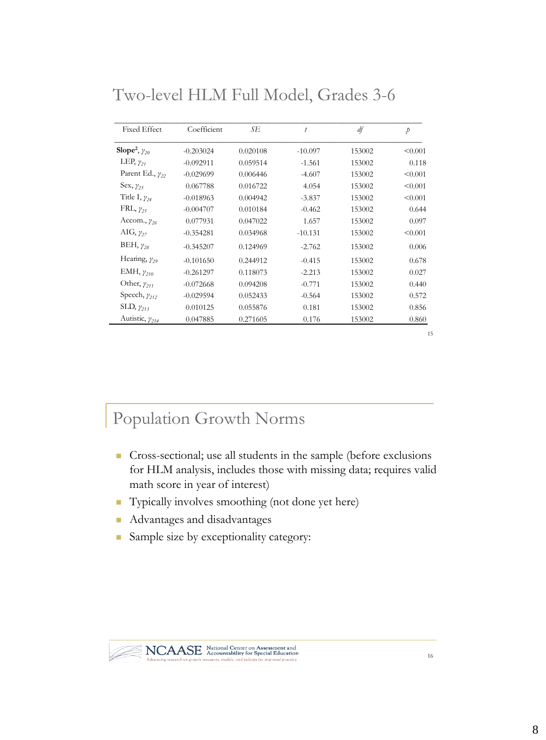| <b>Fixed Effect</b>                | Coefficient | SЕ       | $\bar{t}$ | df     | $\dot{p}$ |
|------------------------------------|-------------|----------|-----------|--------|-----------|
| Slope <sup>2</sup> , $\gamma_{20}$ | $-0.203024$ | 0.020108 | $-10.097$ | 153002 | < 0.001   |
| LEP, $\gamma_{21}$                 | $-0.092911$ | 0.059514 | $-1.561$  | 153002 | 0.118     |
| Parent Ed., $\gamma_{22}$          | $-0.029699$ | 0.006446 | $-4.607$  | 153002 | < 0.001   |
| Sex, $y_{23}$                      | 0.067788    | 0.016722 | 4.054     | 153002 | < 0.001   |
| Title I, $y_{24}$                  | $-0.018963$ | 0.004942 | $-3.837$  | 153002 | < 0.001   |
| $FRL$ , $\gamma_{25}$              | $-0.004707$ | 0.010184 | $-0.462$  | 153002 | 0.644     |
| Accom., $y_{26}$                   | 0.077931    | 0.047022 | 1.657     | 153002 | 0.097     |
| AIG, $\gamma_{27}$                 | $-0.354281$ | 0.034968 | $-10.131$ | 153002 | < 0.001   |
| BEH, $\gamma_{28}$                 | $-0.345207$ | 0.124969 | $-2.762$  | 153002 | 0.006     |
| Hearing, $y_{29}$                  | $-0.101650$ | 0.244912 | $-0.415$  | 153002 | 0.678     |
| EMH, $y_{210}$                     | $-0.261297$ | 0.118073 | $-2.213$  | 153002 | 0.027     |
| Other, $\gamma_{211}$              | $-0.072668$ | 0.094208 | $-0.771$  | 153002 | 0.440     |
| Speech, $y_{212}$                  | $-0.029594$ | 0.052433 | $-0.564$  | 153002 | 0.572     |
| SLD, $\gamma_{213}$                | 0.010125    | 0.055876 | 0.181     | 153002 | 0.856     |
| Autistic, $\gamma_{214}$           | 0.047885    | 0.271605 | 0.176     | 153002 | 0.860     |

Two-level HLM Full Model, Grades 3-6

#### 15

## Population Growth Norms

- Cross-sectional; use all students in the sample (before exclusions for HLM analysis, includes those with missing data; requires valid math score in year of interest)
- Typically involves smoothing (not done yet here)
- **Advantages and disadvantages**
- Sample size by exceptionality category:

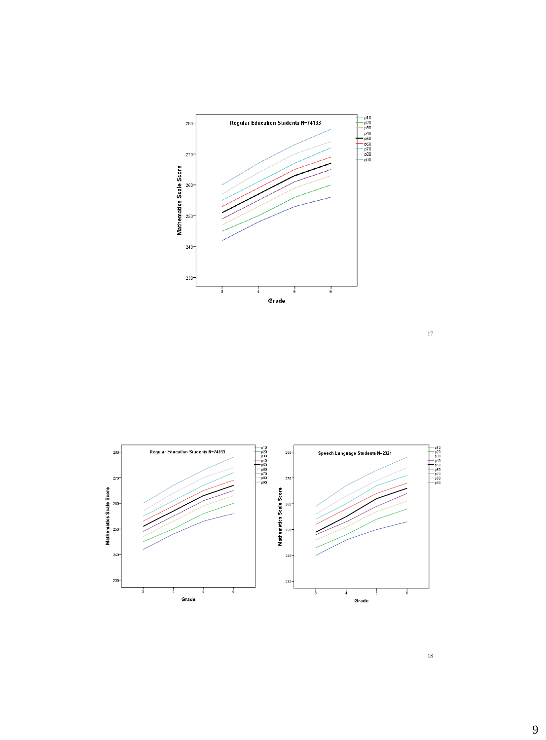



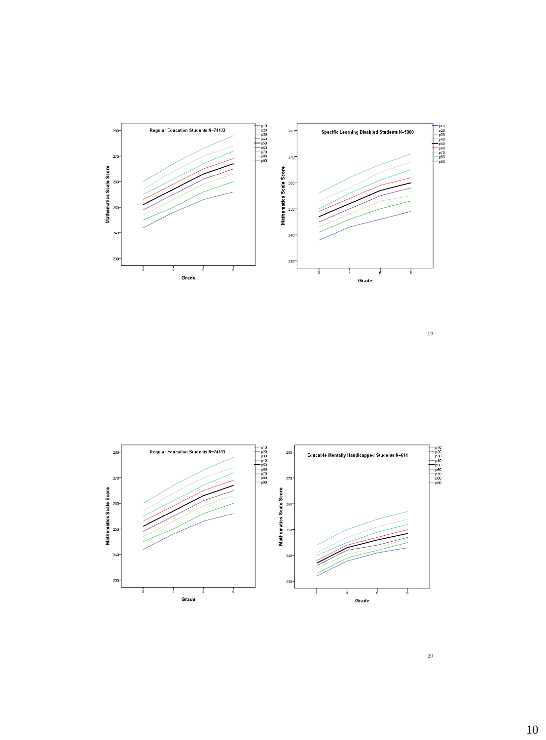



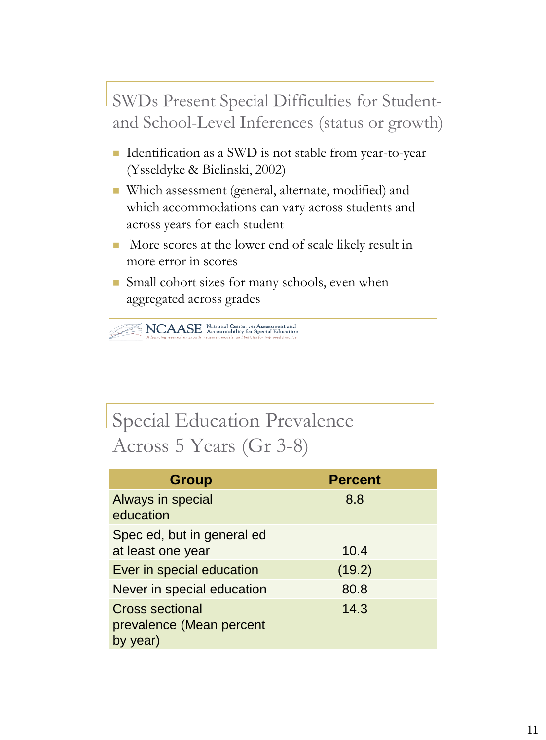SWDs Present Special Difficulties for Studentand School-Level Inferences (status or growth)

- Identification as a SWD is not stable from year-to-year (Ysseldyke & Bielinski, 2002)
- Which assessment (general, alternate, modified) and which accommodations can vary across students and across years for each student
- More scores at the lower end of scale likely result in more error in scores
- **Small cohort sizes for many schools, even when** aggregated across grades

 $\sum_{\substack{\text{Adamanine research on growth measure, models, and}}}\sum_{\substack{\text{Accountability for Spocal Hulls (not a) models (not a) models (not a) models (not a) models (not a) models (not a) models (not a) models (not a) models (not a) models (not a) models (not a) models (not a) models (not a) models (not a) models (not a) models (not a) models (not a) models (not a) models (not a) models (not a) models (not a) models (not a) models (not a) models (not a) models (not a) models (not a) models (not a) models (not a) models (not a) models (not a) models$ 

# Special Education Prevalence Across 5 Years (Gr 3-8)

| <b>Group</b>                                                   | <b>Percent</b> |
|----------------------------------------------------------------|----------------|
| Always in special<br>education                                 | 8.8            |
| Spec ed, but in general ed<br>at least one year                | 10.4           |
| Ever in special education                                      | (19.2)         |
| Never in special education                                     | 80.8           |
| <b>Cross sectional</b><br>prevalence (Mean percent<br>by year) | 14.3           |